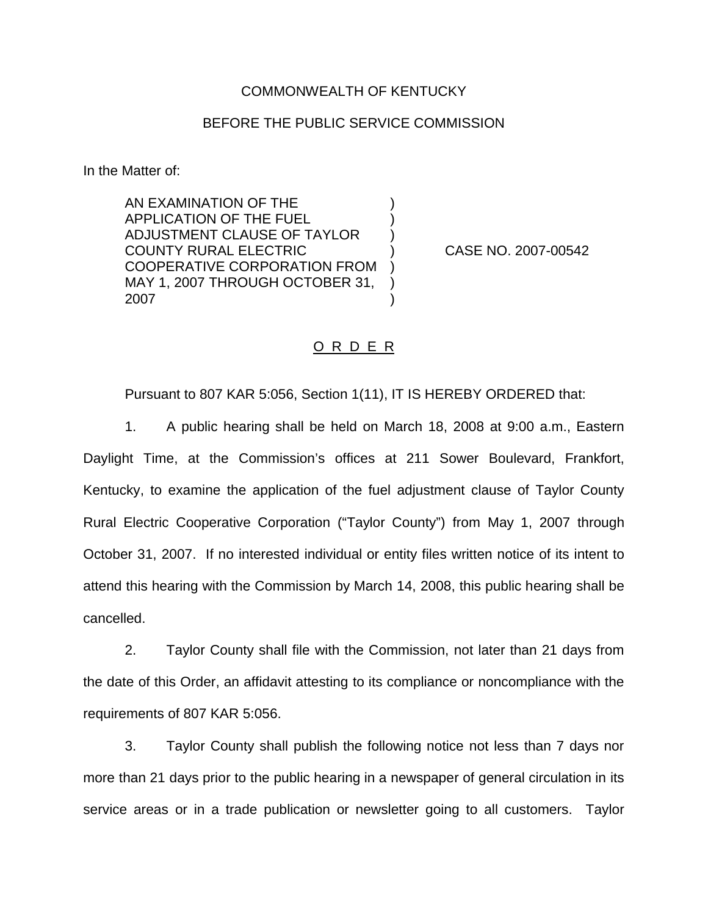## COMMONWEALTH OF KENTUCKY

## BEFORE THE PUBLIC SERVICE COMMISSION

) ) )

) ) )

In the Matter of:

AN EXAMINATION OF THE APPLICATION OF THE FUEL ADJUSTMENT CLAUSE OF TAYLOR COUNTY RURAL ELECTRIC COOPERATIVE CORPORATION FROM MAY 1, 2007 THROUGH OCTOBER 31, 2007

) CASE NO. 2007-00542

## O R D E R

Pursuant to 807 KAR 5:056, Section 1(11), IT IS HEREBY ORDERED that:

1. A public hearing shall be held on March 18, 2008 at 9:00 a.m., Eastern Daylight Time, at the Commission's offices at 211 Sower Boulevard, Frankfort, Kentucky, to examine the application of the fuel adjustment clause of Taylor County Rural Electric Cooperative Corporation ("Taylor County") from May 1, 2007 through October 31, 2007. If no interested individual or entity files written notice of its intent to attend this hearing with the Commission by March 14, 2008, this public hearing shall be cancelled.

2. Taylor County shall file with the Commission, not later than 21 days from the date of this Order, an affidavit attesting to its compliance or noncompliance with the requirements of 807 KAR 5:056.

3. Taylor County shall publish the following notice not less than 7 days nor more than 21 days prior to the public hearing in a newspaper of general circulation in its service areas or in a trade publication or newsletter going to all customers. Taylor